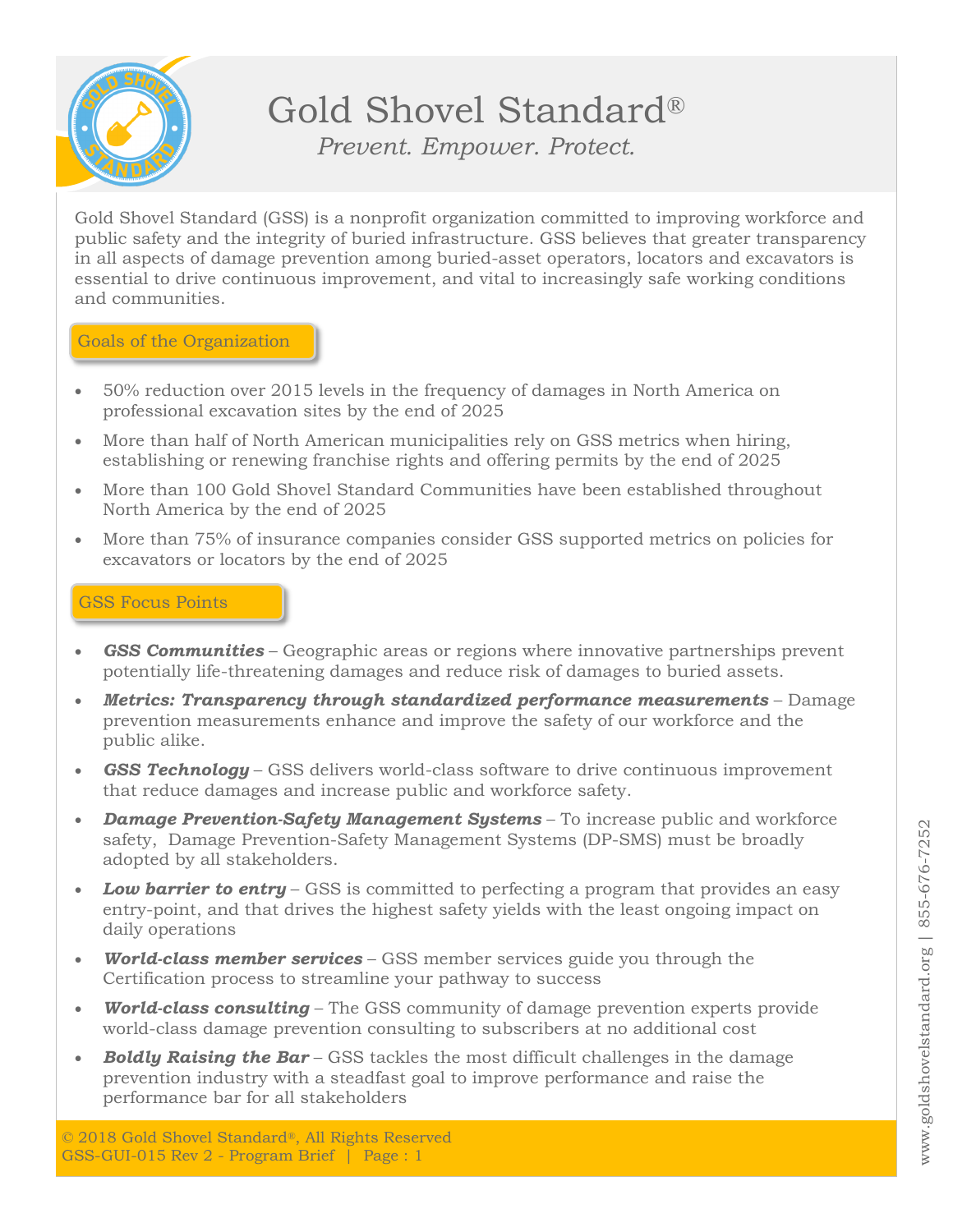

# Gold Shovel Standard®

*Prevent. Empower. Protect.*

Gold Shovel Standard (GSS) is a nonprofit organization committed to improving workforce and public safety and the integrity of buried infrastructure. GSS believes that greater transparency in all aspects of damage prevention among buried-asset operators, locators and excavators is essential to drive continuous improvement, and vital to increasingly safe working conditions and communities.

#### Goals of the Organization

- 50% reduction over 2015 levels in the frequency of damages in North America on professional excavation sites by the end of 2025
- More than half of North American municipalities rely on GSS metrics when hiring, establishing or renewing franchise rights and offering permits by the end of 2025
- More than 100 Gold Shovel Standard Communities have been established throughout North America by the end of 2025
- More than 75% of insurance companies consider GSS supported metrics on policies for excavators or locators by the end of 2025

## GSS Focus Points

- *GSS Communities* Geographic areas or regions where innovative partnerships prevent potentially life-threatening damages and reduce risk of damages to buried assets.
- *Metrics: Transparency through standardized performance measurements* Damage prevention measurements enhance and improve the safety of our workforce and the public alike.
- **GSS Technology** GSS delivers world-class software to drive continuous improvement that reduce damages and increase public and workforce safety.
- *Damage Prevention-Safety Management Systems* To increase public and workforce safety, Damage Prevention-Safety Management Systems (DP-SMS) must be broadly adopted by all stakeholders.
- *Low barrier to entry* GSS is committed to perfecting a program that provides an easy entry-point, and that drives the highest safety yields with the least ongoing impact on daily operations
- *World-class member services* GSS member services guide you through the Certification process to streamline your pathway to success
- *World-class consulting* The GSS community of damage prevention experts provide world-class damage prevention consulting to subscribers at no additional cost
- *Boldly Raising the Bar* GSS tackles the most difficult challenges in the damage prevention industry with a steadfast goal to improve performance and raise the performance bar for all stakeholders

© 2018 Gold Shovel Standard®, All Rights Reserved GSS-GUI-015 Rev 2 - Program Brief | Page : 1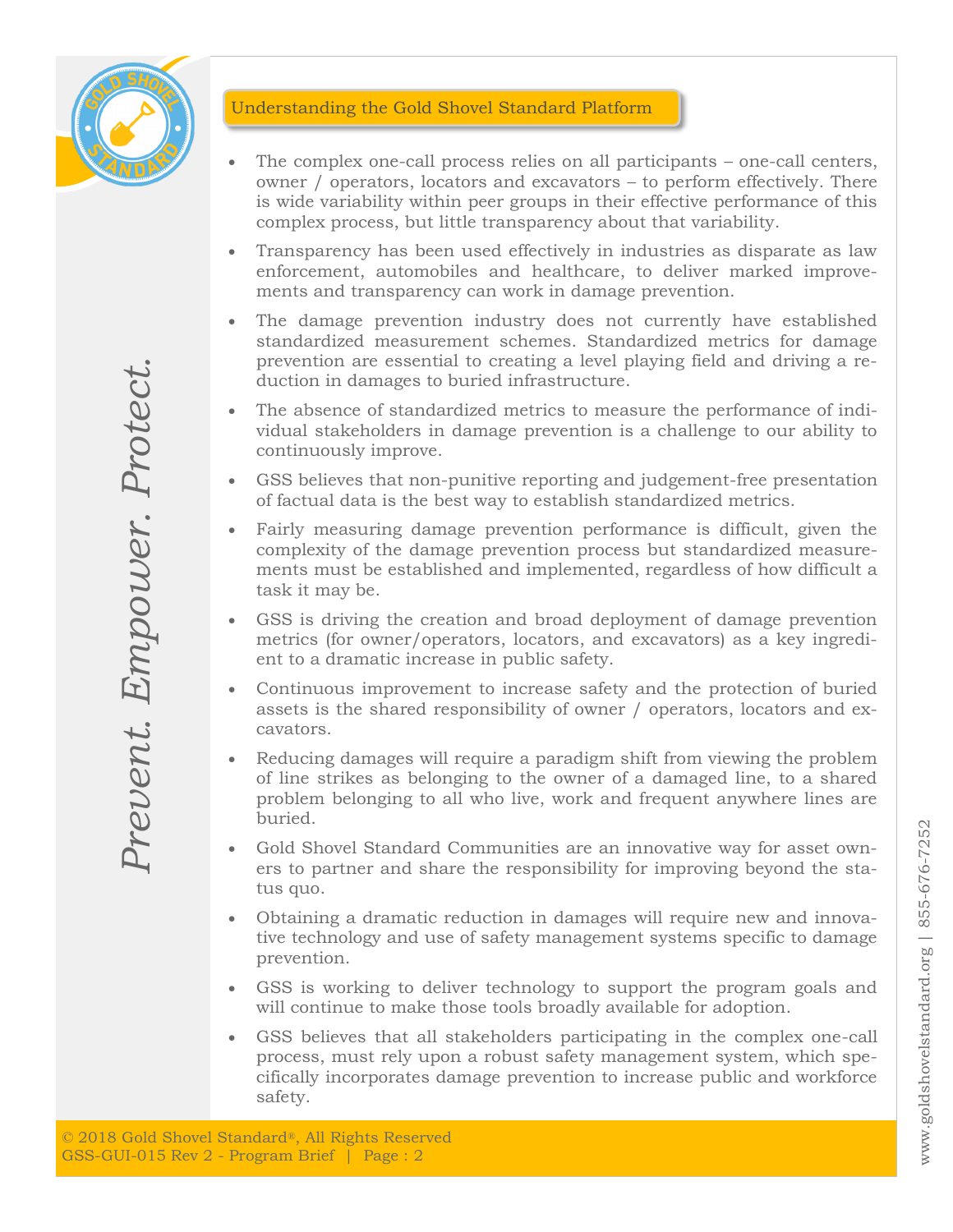

## Understanding the Gold Shovel Standard Platform

- The complex one-call process relies on all participants one-call centers, owner / operators, locators and excavators – to perform effectively. There is wide variability within peer groups in their effective performance of this complex process, but little transparency about that variability.
- Transparency has been used effectively in industries as disparate as law enforcement, automobiles and healthcare, to deliver marked improvements and transparency can work in damage prevention.
- The damage prevention industry does not currently have established standardized measurement schemes. Standardized metrics for damage prevention are essential to creating a level playing field and driving a reduction in damages to buried infrastructure.
- The absence of standardized metrics to measure the performance of individual stakeholders in damage prevention is a challenge to our ability to continuously improve.
- GSS believes that non-punitive reporting and judgement-free presentation of factual data is the best way to establish standardized metrics.
- Fairly measuring damage prevention performance is difficult, given the complexity of the damage prevention process but standardized measurements must be established and implemented, regardless of how difficult a task it may be.
- GSS is driving the creation and broad deployment of damage prevention metrics (for owner/operators, locators, and excavators) as a key ingredient to a dramatic increase in public safety.
- Continuous improvement to increase safety and the protection of buried assets is the shared responsibility of owner / operators, locators and excavators.
- Reducing damages will require a paradigm shift from viewing the problem of line strikes as belonging to the owner of a damaged line, to a shared problem belonging to all who live, work and frequent anywhere lines are buried.
- Gold Shovel Standard Communities are an innovative way for asset owners to partner and share the responsibility for improving beyond the status quo.
- Obtaining a dramatic reduction in damages will require new and innovative technology and use of safety management systems specific to damage prevention.
- GSS is working to deliver technology to support the program goals and will continue to make those tools broadly available for adoption.
- GSS believes that all stakeholders participating in the complex one-call process, must rely upon a robust safety management system, which specifically incorporates damage prevention to increase public and workforce safety.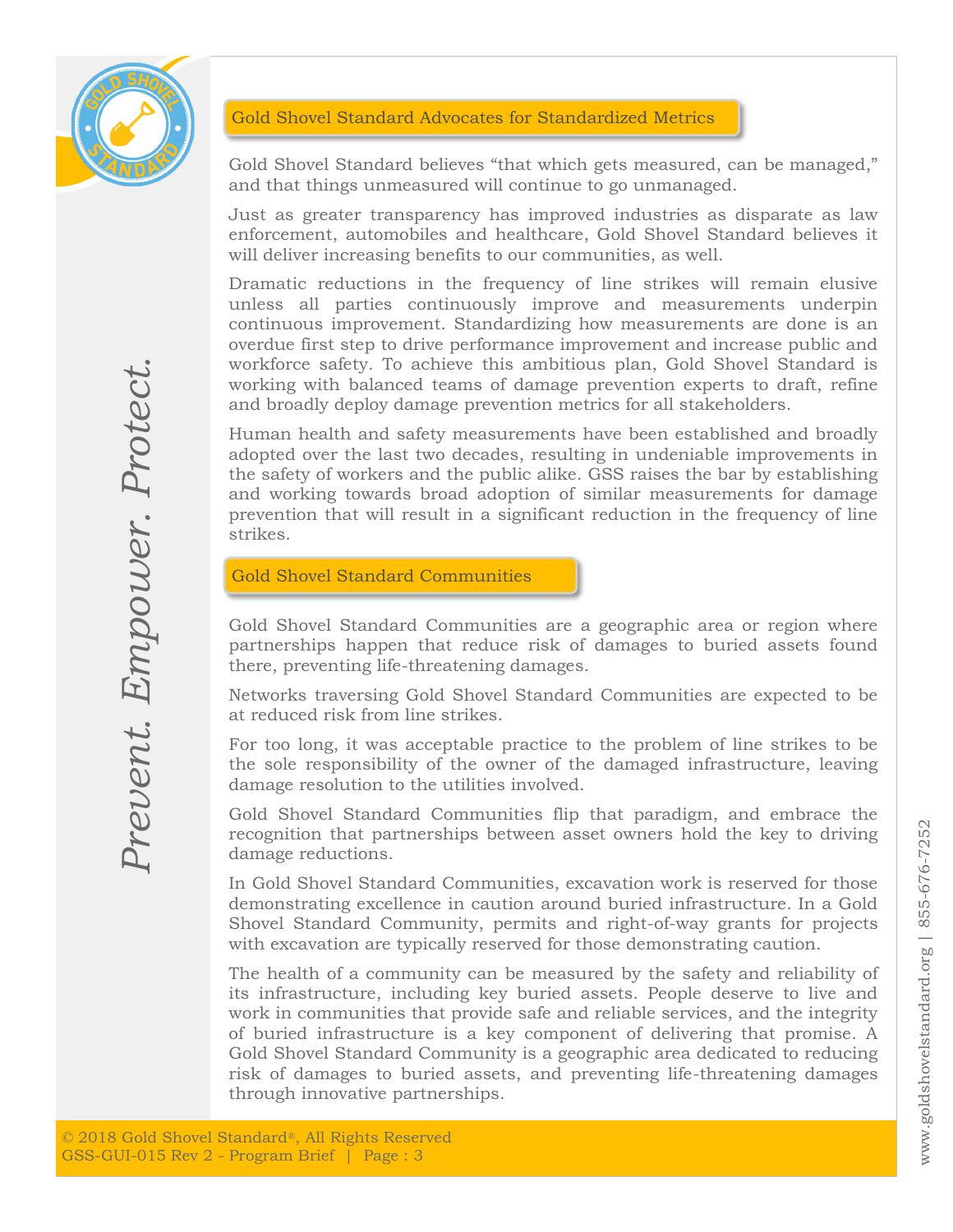

## Gold Shovel Standard Advocates for Standardized Metrics

Gold Shovel Standard believes "that which gets measured, can be managed," and that things unmeasured will continue to go unmanaged.

Just as greater transparency has improved industries as disparate as law enforcement, automobiles and healthcare, Gold Shovel Standard believes it will deliver increasing benefits to our communities, as well.

Dramatic reductions in the frequency of line strikes will remain elusive unless all parties continuously improve and measurements underpin continuous improvement. Standardizing how measurements are done is an overdue first step to drive performance improvement and increase public and workforce safety. To achieve this ambitious plan, Gold Shovel Standard is working with balanced teams of damage prevention experts to draft, refine and broadly deploy damage prevention metrics for all stakeholders.

Human health and safety measurements have been established and broadly adopted over the last two decades, resulting in undeniable improvements in the safety of workers and the public alike. GSS raises the bar by establishing and working towards broad adoption of similar measurements for damage prevention that will result in a significant reduction in the frequency of line strikes.

Gold Shovel Standard Communities

Gold Shovel Standard Communities are a geographic area or region where partnerships happen that reduce risk of damages to buried assets found there, preventing life-threatening damages.

Networks traversing Gold Shovel Standard Communities are expected to be at reduced risk from line strikes.

For too long, it was acceptable practice to the problem of line strikes to be the sole responsibility of the owner of the damaged infrastructure, leaving damage resolution to the utilities involved.

Gold Shovel Standard Communities flip that paradigm, and embrace the recognition that partnerships between asset owners hold the key to driving damage reductions.

In Gold Shovel Standard Communities, excavation work is reserved for those demonstrating excellence in caution around buried infrastructure. In a Gold Shovel Standard Community, permits and right-of-way grants for projects with excavation are typically reserved for those demonstrating caution.

worktore satety. To a<br>working with balanced<br>and broadly deploy dan<br>Human health and safe<br>adopted over the last t<br>the safety of workers and<br>and working towards i<br>prevention that will res<br>strikes.<br>**Gold Shovel Standard**<br>Gold The health of a community can be measured by the safety and reliability of its infrastructure, including key buried assets. People deserve to live and work in communities that provide safe and reliable services, and the integrity of buried infrastructure is a key component of delivering that promise. A Gold Shovel Standard Community is a geographic area dedicated to reducing risk of damages to buried assets, and preventing life-threatening damages through innovative partnerships.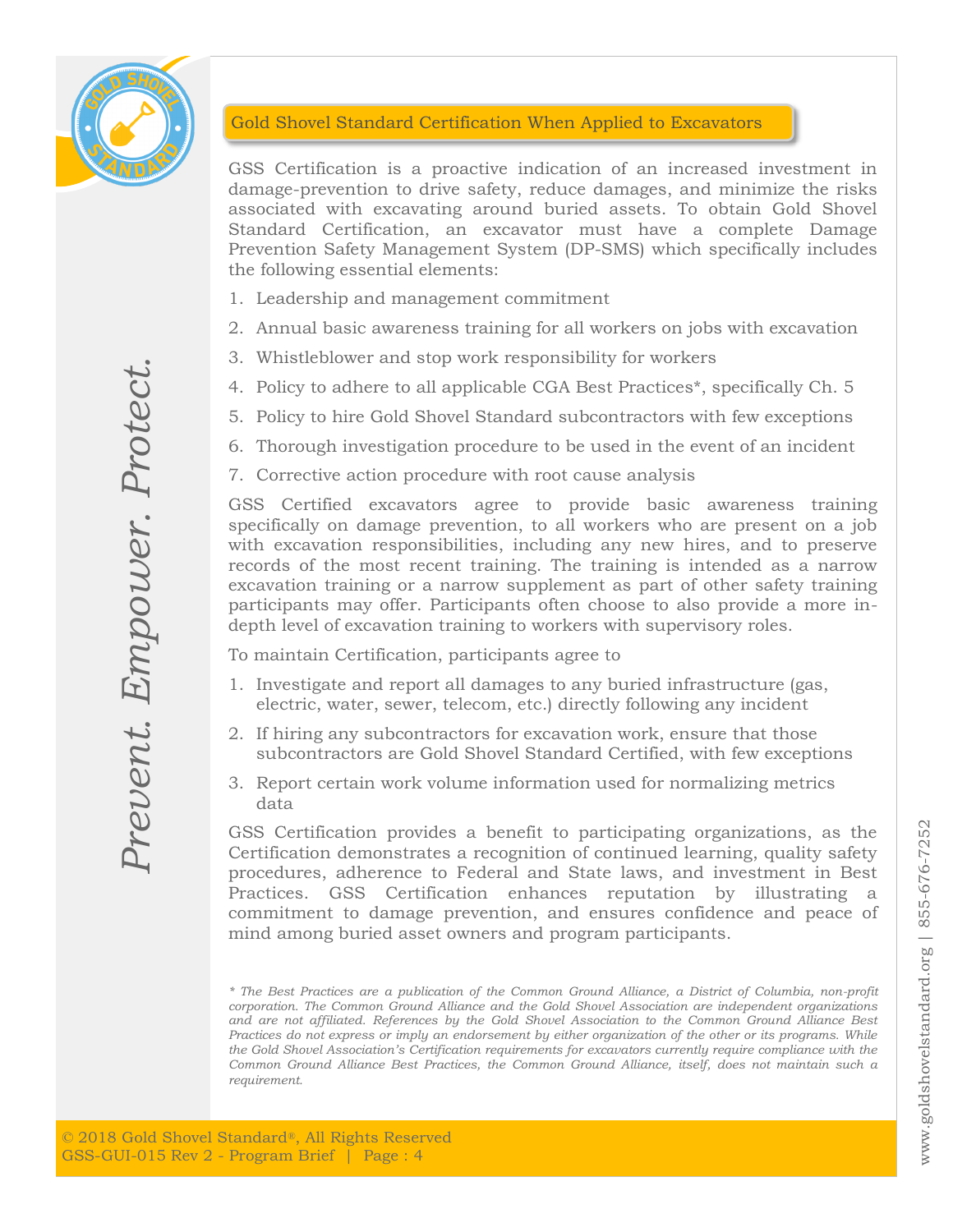

## Gold Shovel Standard Certification When Applied to Excavators

GSS Certification is a proactive indication of an increased investment in damage-prevention to drive safety, reduce damages, and minimize the risks associated with excavating around buried assets. To obtain Gold Shovel Standard Certification, an excavator must have a complete Damage Prevention Safety Management System (DP-SMS) which specifically includes the following essential elements:

- 1. Leadership and management commitment
- 2. Annual basic awareness training for all workers on jobs with excavation
- 3. Whistleblower and stop work responsibility for workers
- 4. Policy to adhere to all applicable CGA Best Practices\*, specifically Ch. 5
- 5. Policy to hire Gold Shovel Standard subcontractors with few exceptions
- 6. Thorough investigation procedure to be used in the event of an incident
- 7. Corrective action procedure with root cause analysis

G. Winsterbower and a<br>
4. Policy to adhere to a<br>
5. Policy to hire Gold S<br>
6. Thorough investigat<br>
7. Corrective action pro<br>
specifically on damage<br>
with excavation responses of the most response excavation training or<br>
ex GSS Certified excavators agree to provide basic awareness training specifically on damage prevention, to all workers who are present on a job with excavation responsibilities, including any new hires, and to preserve records of the most recent training. The training is intended as a narrow excavation training or a narrow supplement as part of other safety training participants may offer. Participants often choose to also provide a more indepth level of excavation training to workers with supervisory roles.

To maintain Certification, participants agree to

- 1. Investigate and report all damages to any buried infrastructure (gas, electric, water, sewer, telecom, etc.) directly following any incident
- 2. If hiring any subcontractors for excavation work, ensure that those subcontractors are Gold Shovel Standard Certified, with few exceptions
- 3. Report certain work volume information used for normalizing metrics data

GSS Certification provides a benefit to participating organizations, as the Certification demonstrates a recognition of continued learning, quality safety procedures, adherence to Federal and State laws, and investment in Best Practices. GSS Certification enhances reputation by illustrating a commitment to damage prevention, and ensures confidence and peace of mind among buried asset owners and program participants.

*<sup>\*</sup> The Best Practices are a publication of the Common Ground Alliance, a District of Columbia, non-profit corporation. The Common Ground Alliance and the Gold Shovel Association are independent organizations and are not affiliated. References by the Gold Shovel Association to the Common Ground Alliance Best Practices do not express or imply an endorsement by either organization of the other or its programs. While the Gold Shovel Association's Certification requirements for excavators currently require compliance with the Common Ground Alliance Best Practices, the Common Ground Alliance, itself, does not maintain such a requirement.*